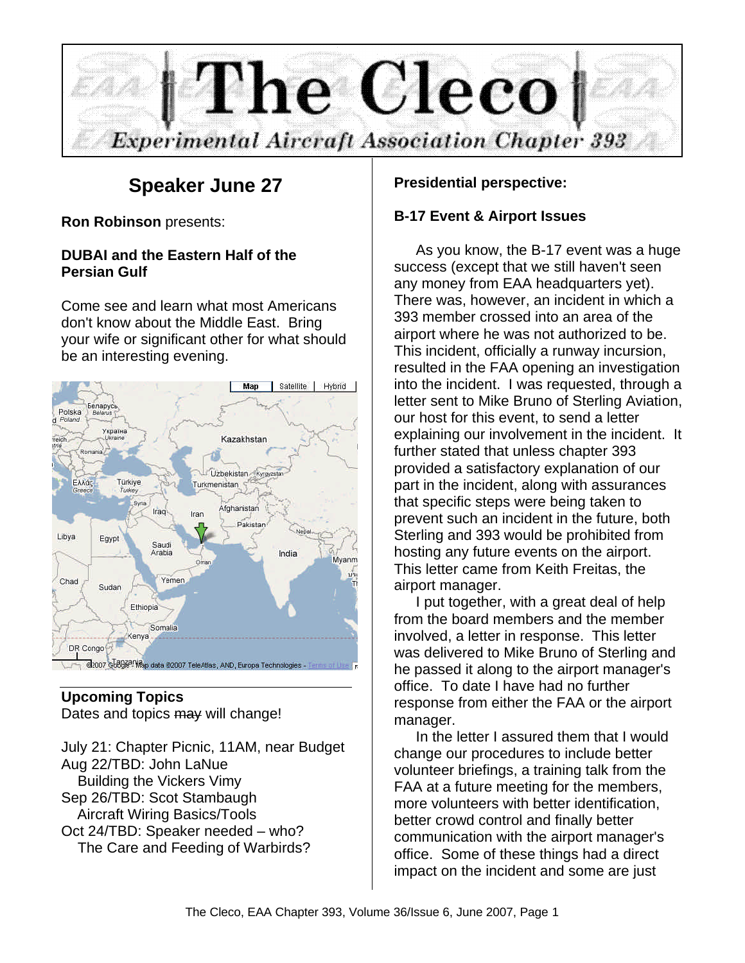

# **Speaker June 27**

**Ron Robinson** presents:

# **DUBAI and the Eastern Half of the Persian Gulf**

Come see and learn what most Americans don't know about the Middle East. Bring your wife or significant other for what should be an interesting evening.



#### **Upcoming Topics** Dates and topics may will change!

July 21: Chapter Picnic, 11AM, near Budget Aug 22/TBD: John LaNue Building the Vickers Vimy Sep 26/TBD: Scot Stambaugh Aircraft Wiring Basics/Tools Oct 24/TBD: Speaker needed – who? The Care and Feeding of Warbirds?

#### **Presidential perspective:**

### **B-17 Event & Airport Issues**

As you know, the B-17 event was a huge success (except that we still haven't seen any money from EAA headquarters yet). There was, however, an incident in which a 393 member crossed into an area of the airport where he was not authorized to be. This incident, officially a runway incursion, resulted in the FAA opening an investigation into the incident. I was requested, through a letter sent to Mike Bruno of Sterling Aviation, our host for this event, to send a letter explaining our involvement in the incident. It further stated that unless chapter 393 provided a satisfactory explanation of our part in the incident, along with assurances that specific steps were being taken to prevent such an incident in the future, both Sterling and 393 would be prohibited from hosting any future events on the airport. This letter came from Keith Freitas, the airport manager.

I put together, with a great deal of help from the board members and the member involved, a letter in response. This letter was delivered to Mike Bruno of Sterling and he passed it along to the airport manager's office. To date I have had no further response from either the FAA or the airport manager.

In the letter I assured them that I would change our procedures to include better volunteer briefings, a training talk from the FAA at a future meeting for the members, more volunteers with better identification, better crowd control and finally better communication with the airport manager's office. Some of these things had a direct impact on the incident and some are just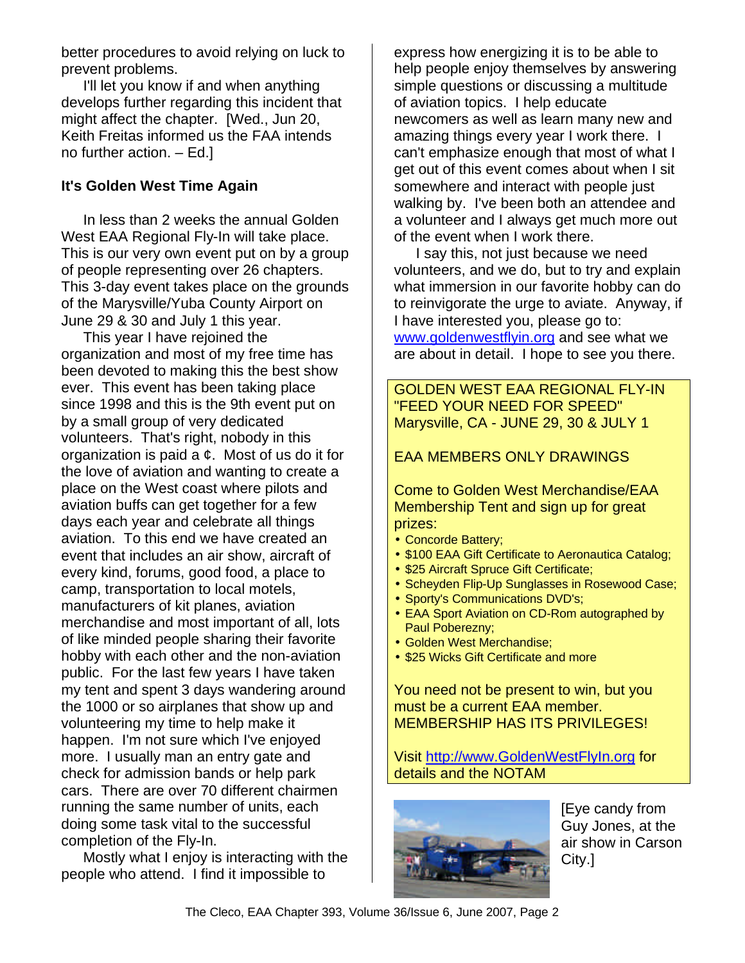better procedures to avoid relying on luck to prevent problems.

I'll let you know if and when anything develops further regarding this incident that might affect the chapter. [Wed., Jun 20, Keith Freitas informed us the FAA intends no further action. – Ed.]

#### **It's Golden West Time Again**

In less than 2 weeks the annual Golden West EAA Regional Fly-In will take place. This is our very own event put on by a group of people representing over 26 chapters. This 3-day event takes place on the grounds of the Marysville/Yuba County Airport on June 29 & 30 and July 1 this year.

This year I have rejoined the organization and most of my free time has been devoted to making this the best show ever. This event has been taking place since 1998 and this is the 9th event put on by a small group of very dedicated volunteers. That's right, nobody in this organization is paid a ¢. Most of us do it for the love of aviation and wanting to create a place on the West coast where pilots and aviation buffs can get together for a few days each year and celebrate all things aviation. To this end we have created an event that includes an air show, aircraft of every kind, forums, good food, a place to camp, transportation to local motels, manufacturers of kit planes, aviation merchandise and most important of all, lots of like minded people sharing their favorite hobby with each other and the non-aviation public. For the last few years I have taken my tent and spent 3 days wandering around the 1000 or so airplanes that show up and volunteering my time to help make it happen. I'm not sure which I've enjoyed more. I usually man an entry gate and check for admission bands or help park cars. There are over 70 different chairmen running the same number of units, each doing some task vital to the successful completion of the Fly-In.

Mostly what I enjoy is interacting with the people who attend. I find it impossible to

express how energizing it is to be able to help people enjoy themselves by answering simple questions or discussing a multitude of aviation topics. I help educate newcomers as well as learn many new and amazing things every year I work there. I can't emphasize enough that most of what I get out of this event comes about when I sit somewhere and interact with people just walking by. I've been both an attendee and a volunteer and I always get much more out of the event when I work there.

I say this, not just because we need volunteers, and we do, but to try and explain what immersion in our favorite hobby can do to reinvigorate the urge to aviate. Anyway, if I have interested you, please go to: www.goldenwestflyin.org and see what we are about in detail. I hope to see you there.

GOLDEN WEST EAA REGIONAL FLY-IN "FEED YOUR NEED FOR SPEED" Marysville, CA - JUNE 29, 30 & JULY 1

#### EAA MEMBERS ONLY DRAWINGS

Come to Golden West Merchandise/EAA Membership Tent and sign up for great prizes:

- Concorde Battery;
- \$100 EAA Gift Certificate to Aeronautica Catalog;
- \$25 Aircraft Spruce Gift Certificate;
- Scheyden Flip-Up Sunglasses in Rosewood Case;
- Sporty's Communications DVD's;
- EAA Sport Aviation on CD-Rom autographed by Paul Poberezny;
- Golden West Merchandise;
- \$25 Wicks Gift Certificate and more

You need not be present to win, but you must be a current EAA member. MEMBERSHIP HAS ITS PRIVILEGES!

Visit http://www.GoldenWestFlyIn.org for details and the NOTAM



[Eye candy from Guy Jones, at the air show in Carson City.]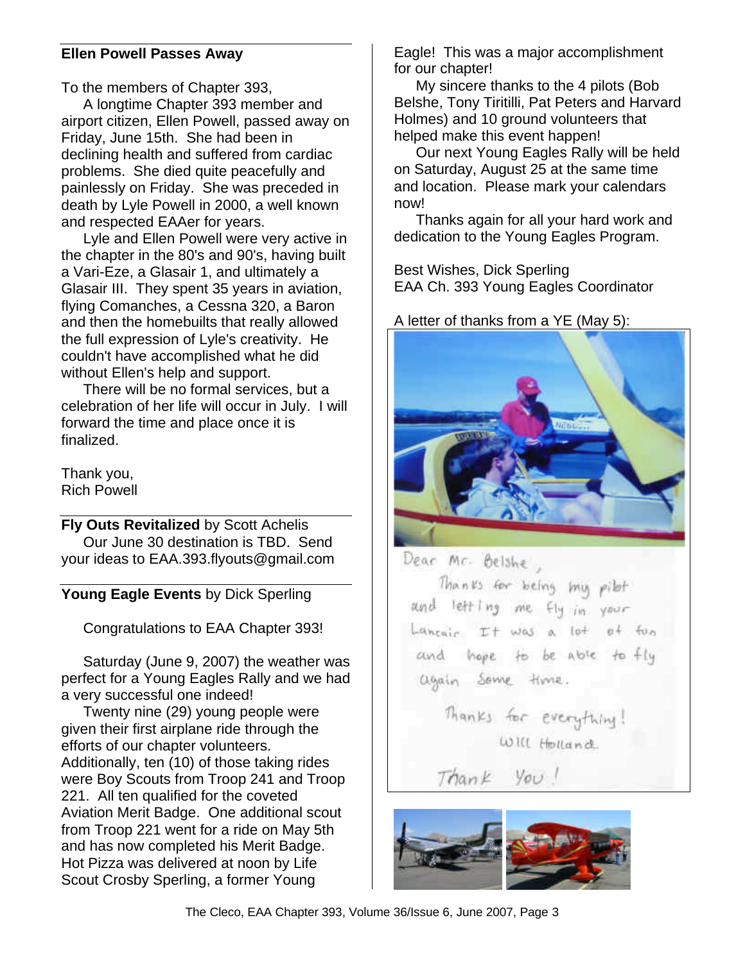#### **Ellen Powell Passes Away**

To the members of Chapter 393,

A longtime Chapter 393 member and airport citizen, Ellen Powell, passed away on Friday, June 15th. She had been in declining health and suffered from cardiac problems. She died quite peacefully and painlessly on Friday. She was preceded in death by Lyle Powell in 2000, a well known and respected EAAer for years.

Lyle and Ellen Powell were very active in the chapter in the 80's and 90's, having built a Vari-Eze, a Glasair 1, and ultimately a Glasair III. They spent 35 years in aviation, flying Comanches, a Cessna 320, a Baron and then the homebuilts that really allowed the full expression of Lyle's creativity. He couldn't have accomplished what he did without Ellen's help and support.

There will be no formal services, but a celebration of her life will occur in July. I will forward the time and place once it is finalized.

Thank you, Rich Powell

**Fly Outs Revitalized** by Scott Achelis Our June 30 destination is TBD. Send your ideas to EAA.393.flyouts@gmail.com

**Young Eagle Events** by Dick Sperling

Congratulations to EAA Chapter 393!

Saturday (June 9, 2007) the weather was perfect for a Young Eagles Rally and we had a very successful one indeed!

Twenty nine (29) young people were given their first airplane ride through the efforts of our chapter volunteers. Additionally, ten (10) of those taking rides were Boy Scouts from Troop 241 and Troop 221. All ten qualified for the coveted Aviation Merit Badge. One additional scout from Troop 221 went for a ride on May 5th and has now completed his Merit Badge. Hot Pizza was delivered at noon by Life Scout Crosby Sperling, a former Young

Eagle! This was a major accomplishment for our chapter!

My sincere thanks to the 4 pilots (Bob Belshe, Tony Tiritilli, Pat Peters and Harvard Holmes) and 10 ground volunteers that helped make this event happen!

Our next Young Eagles Rally will be held on Saturday, August 25 at the same time and location. Please mark your calendars now!

Thanks again for all your hard work and dedication to the Young Eagles Program.

Best Wishes, Dick Sperling EAA Ch. 393 Young Eagles Coordinator

#### A letter of thanks from a YE (May 5):



Dear Mr. Belshe,

Thanks for being my pilot and letting me fly in your Lancair It was a lot of for and hope to be able to fly again Some time.

> Thanks for everything! Will Holland

Thank You!



The Cleco, EAA Chapter 393, Volume 36/Issue 6, June 2007, Page 3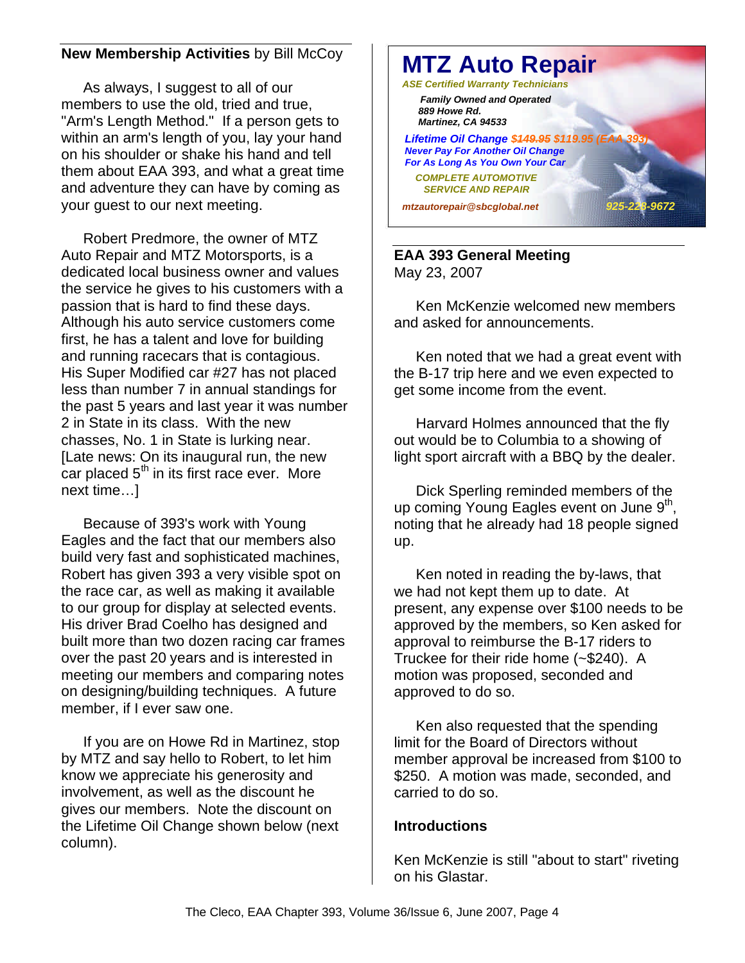### **New Membership Activities** by Bill McCoy

As always, I suggest to all of our members to use the old, tried and true, "Arm's Length Method." If a person gets to within an arm's length of you, lay your hand on his shoulder or shake his hand and tell them about EAA 393, and what a great time and adventure they can have by coming as your guest to our next meeting.

Robert Predmore, the owner of MTZ Auto Repair and MTZ Motorsports, is a dedicated local business owner and values the service he gives to his customers with a passion that is hard to find these days. Although his auto service customers come first, he has a talent and love for building and running racecars that is contagious. His Super Modified car #27 has not placed less than number 7 in annual standings for the past 5 years and last year it was number 2 in State in its class. With the new chasses, No. 1 in State is lurking near. [Late news: On its inaugural run, the new car placed  $5<sup>th</sup>$  in its first race ever. More next time…]

Because of 393's work with Young Eagles and the fact that our members also build very fast and sophisticated machines, Robert has given 393 a very visible spot on the race car, as well as making it available to our group for display at selected events. His driver Brad Coelho has designed and built more than two dozen racing car frames over the past 20 years and is interested in meeting our members and comparing notes on designing/building techniques. A future member, if I ever saw one.

If you are on Howe Rd in Martinez, stop by MTZ and say hello to Robert, to let him know we appreciate his generosity and involvement, as well as the discount he gives our members. Note the discount on the Lifetime Oil Change shown below (next column).



#### **EAA 393 General Meeting** May 23, 2007

Ken McKenzie welcomed new members and asked for announcements.

Ken noted that we had a great event with the B-17 trip here and we even expected to get some income from the event.

Harvard Holmes announced that the fly out would be to Columbia to a showing of light sport aircraft with a BBQ by the dealer.

Dick Sperling reminded members of the up coming Young Eagles event on June  $9<sup>th</sup>$ , noting that he already had 18 people signed up.

Ken noted in reading the by-laws, that we had not kept them up to date. At present, any expense over \$100 needs to be approved by the members, so Ken asked for approval to reimburse the B-17 riders to Truckee for their ride home (~\$240). A motion was proposed, seconded and approved to do so.

Ken also requested that the spending limit for the Board of Directors without member approval be increased from \$100 to \$250. A motion was made, seconded, and carried to do so.

#### **Introductions**

Ken McKenzie is still "about to start" riveting on his Glastar.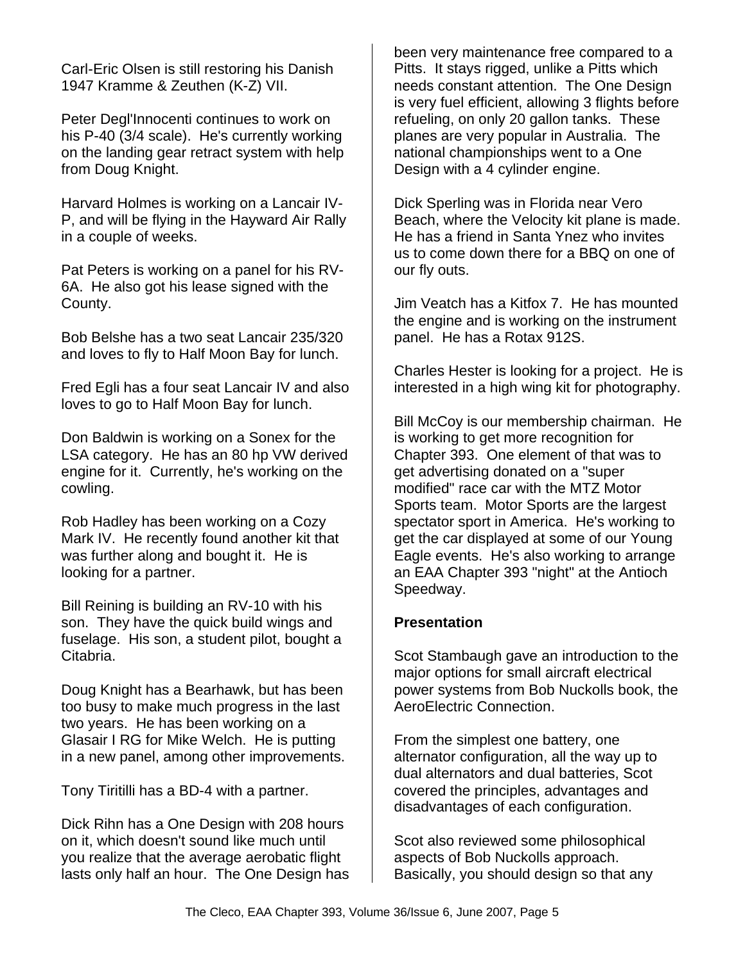Carl-Eric Olsen is still restoring his Danish 1947 Kramme & Zeuthen (K-Z) VII.

Peter Degl'Innocenti continues to work on his P-40 (3/4 scale). He's currently working on the landing gear retract system with help from Doug Knight.

Harvard Holmes is working on a Lancair IV-P, and will be flying in the Hayward Air Rally in a couple of weeks.

Pat Peters is working on a panel for his RV-6A. He also got his lease signed with the County.

Bob Belshe has a two seat Lancair 235/320 and loves to fly to Half Moon Bay for lunch.

Fred Egli has a four seat Lancair IV and also loves to go to Half Moon Bay for lunch.

Don Baldwin is working on a Sonex for the LSA category. He has an 80 hp VW derived engine for it. Currently, he's working on the cowling.

Rob Hadley has been working on a Cozy Mark IV. He recently found another kit that was further along and bought it. He is looking for a partner.

Bill Reining is building an RV-10 with his son. They have the quick build wings and fuselage. His son, a student pilot, bought a Citabria.

Doug Knight has a Bearhawk, but has been too busy to make much progress in the last two years. He has been working on a Glasair I RG for Mike Welch. He is putting in a new panel, among other improvements.

Tony Tiritilli has a BD-4 with a partner.

Dick Rihn has a One Design with 208 hours on it, which doesn't sound like much until you realize that the average aerobatic flight lasts only half an hour. The One Design has been very maintenance free compared to a Pitts. It stays rigged, unlike a Pitts which needs constant attention. The One Design is very fuel efficient, allowing 3 flights before refueling, on only 20 gallon tanks. These planes are very popular in Australia. The national championships went to a One Design with a 4 cylinder engine.

Dick Sperling was in Florida near Vero Beach, where the Velocity kit plane is made. He has a friend in Santa Ynez who invites us to come down there for a BBQ on one of our fly outs.

Jim Veatch has a Kitfox 7. He has mounted the engine and is working on the instrument panel. He has a Rotax 912S.

Charles Hester is looking for a project. He is interested in a high wing kit for photography.

Bill McCoy is our membership chairman. He is working to get more recognition for Chapter 393. One element of that was to get advertising donated on a "super modified" race car with the MTZ Motor Sports team. Motor Sports are the largest spectator sport in America. He's working to get the car displayed at some of our Young Eagle events. He's also working to arrange an EAA Chapter 393 "night" at the Antioch Speedway.

#### **Presentation**

Scot Stambaugh gave an introduction to the major options for small aircraft electrical power systems from Bob Nuckolls book, the AeroElectric Connection.

From the simplest one battery, one alternator configuration, all the way up to dual alternators and dual batteries, Scot covered the principles, advantages and disadvantages of each configuration.

Scot also reviewed some philosophical aspects of Bob Nuckolls approach. Basically, you should design so that any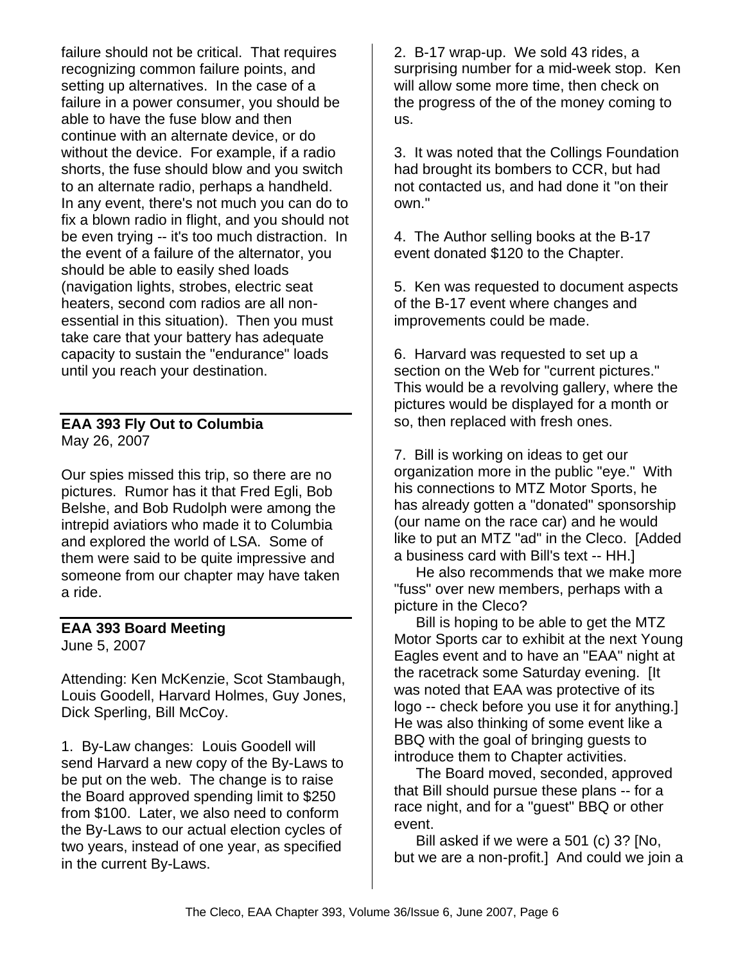failure should not be critical. That requires recognizing common failure points, and setting up alternatives. In the case of a failure in a power consumer, you should be able to have the fuse blow and then continue with an alternate device, or do without the device. For example, if a radio shorts, the fuse should blow and you switch to an alternate radio, perhaps a handheld. In any event, there's not much you can do to fix a blown radio in flight, and you should not be even trying -- it's too much distraction. In the event of a failure of the alternator, you should be able to easily shed loads (navigation lights, strobes, electric seat heaters, second com radios are all nonessential in this situation). Then you must take care that your battery has adequate capacity to sustain the "endurance" loads until you reach your destination.

# **EAA 393 Fly Out to Columbia** May 26, 2007

Our spies missed this trip, so there are no pictures. Rumor has it that Fred Egli, Bob Belshe, and Bob Rudolph were among the intrepid aviatiors who made it to Columbia and explored the world of LSA. Some of them were said to be quite impressive and someone from our chapter may have taken a ride.

#### **EAA 393 Board Meeting** June 5, 2007

Attending: Ken McKenzie, Scot Stambaugh, Louis Goodell, Harvard Holmes, Guy Jones, Dick Sperling, Bill McCoy.

1. By-Law changes: Louis Goodell will send Harvard a new copy of the By-Laws to be put on the web. The change is to raise the Board approved spending limit to \$250 from \$100. Later, we also need to conform the By-Laws to our actual election cycles of two years, instead of one year, as specified in the current By-Laws.

2. B-17 wrap-up. We sold 43 rides, a surprising number for a mid-week stop. Ken will allow some more time, then check on the progress of the of the money coming to us.

3. It was noted that the Collings Foundation had brought its bombers to CCR, but had not contacted us, and had done it "on their own."

4. The Author selling books at the B-17 event donated \$120 to the Chapter.

5. Ken was requested to document aspects of the B-17 event where changes and improvements could be made.

6. Harvard was requested to set up a section on the Web for "current pictures." This would be a revolving gallery, where the pictures would be displayed for a month or so, then replaced with fresh ones.

7. Bill is working on ideas to get our organization more in the public "eye." With his connections to MTZ Motor Sports, he has already gotten a "donated" sponsorship (our name on the race car) and he would like to put an MTZ "ad" in the Cleco. [Added a business card with Bill's text -- HH.]

He also recommends that we make more "fuss" over new members, perhaps with a picture in the Cleco?

Bill is hoping to be able to get the MTZ Motor Sports car to exhibit at the next Young Eagles event and to have an "EAA" night at the racetrack some Saturday evening. [It was noted that EAA was protective of its logo -- check before you use it for anything.] He was also thinking of some event like a BBQ with the goal of bringing guests to introduce them to Chapter activities.

The Board moved, seconded, approved that Bill should pursue these plans -- for a race night, and for a "guest" BBQ or other event.

Bill asked if we were a 501 (c) 3? [No, but we are a non-profit.] And could we join a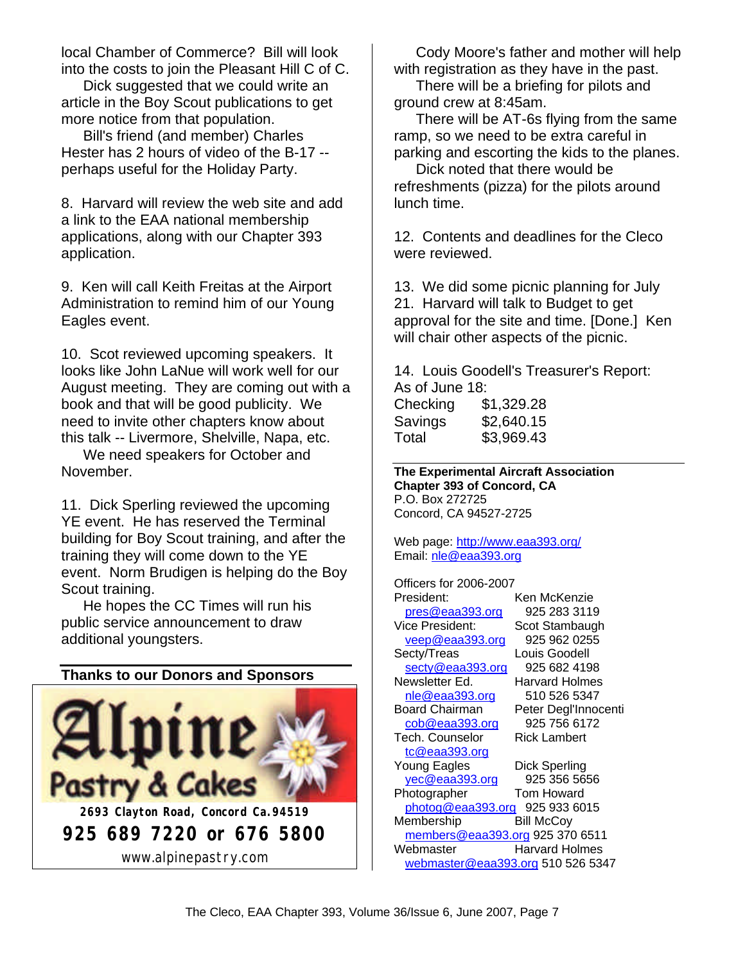local Chamber of Commerce? Bill will look into the costs to join the Pleasant Hill C of C.

Dick suggested that we could write an article in the Boy Scout publications to get more notice from that population.

Bill's friend (and member) Charles Hester has 2 hours of video of the B-17 - perhaps useful for the Holiday Party.

8. Harvard will review the web site and add a link to the EAA national membership applications, along with our Chapter 393 application.

9. Ken will call Keith Freitas at the Airport Administration to remind him of our Young Eagles event.

10. Scot reviewed upcoming speakers. It looks like John LaNue will work well for our August meeting. They are coming out with a book and that will be good publicity. We need to invite other chapters know about this talk -- Livermore, Shelville, Napa, etc.

We need speakers for October and November.

11. Dick Sperling reviewed the upcoming YE event. He has reserved the Terminal building for Boy Scout training, and after the training they will come down to the YE event. Norm Brudigen is helping do the Boy Scout training.

He hopes the CC Times will run his public service announcement to draw additional youngsters.

#### **Thanks to our Donors and Sponsors**



Cody Moore's father and mother will help with registration as they have in the past.

There will be a briefing for pilots and ground crew at 8:45am.

There will be AT-6s flying from the same ramp, so we need to be extra careful in parking and escorting the kids to the planes.

Dick noted that there would be refreshments (pizza) for the pilots around lunch time.

12. Contents and deadlines for the Cleco were reviewed.

13. We did some picnic planning for July 21. Harvard will talk to Budget to get approval for the site and time. [Done.] Ken will chair other aspects of the picnic.

14. Louis Goodell's Treasurer's Report: As of June 18:

| Checking | \$1,329.28 |
|----------|------------|
| Savings  | \$2,640.15 |
| Total    | \$3,969.43 |

**The Experimental Aircraft Association Chapter 393 of Concord, CA** P.O. Box 272725 Concord, CA 94527-2725

Web page: http://www.eaa393.org/ Email: nle@eaa393.org

Officers for 2006-2007 President: Ken McKenzie pres@eaa393.org 925 283 3119 Vice President: Scot Stambaugh veep@eaa393.org 925 962 0255 Secty/Treas Louis Goodell secty@eaa393.org 925 682 4198 Newsletter Ed. Harvard Holmes nle@eaa393.org 510 526 5347 Board Chairman Peter Degl'Innocenti cob@eaa393.org 925 756 6172 Tech. Counselor Rick Lambert tc@eaa393.org Young Eagles Dick Sperling yec@eaa393.org 925 356 5656 Photographer Tom Howard photog@eaa393.org 925 933 6015 Membership Bill McCoy members@eaa393.org 925 370 6511 Webmaster Harvard Holmes webmaster@eaa393.org 510 526 5347